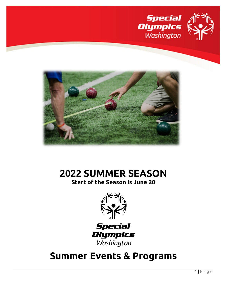



# **2022 SUMMER SEASON**

**Start of the Season is June 20**



### **Special Olympics** Washington

## **Summer Events & Programs**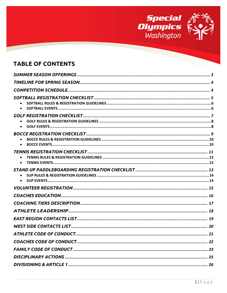

### **TABLE OF CONTENTS**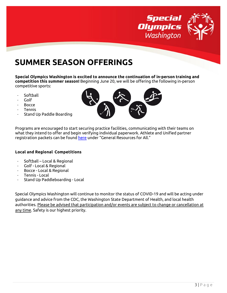

## <span id="page-2-0"></span>**SUMMER SEASON OFFERINGS**

**Special Olympics Washington is excited to announce the continuation of in-person training and competition this summer season!** Beginning June 20, we will be offering the following in-person competitive sports:

- Softball
- Golf
- Bocce
- Tennis
- Stand Up Paddle Boarding



Programs are encouraged to start securing practice facilities, communicating with their teams on what they intend to offer and begin verifying individual paperwork. Athlete and Unified partner registration packets can be found [here](https://specialolympicswashington.org/return-to-activities/) under "General Resources for All."

### **Local and Regional Competitions**

- Softball Local & Regional
- Golf Local & Regional
- Bocce Local & Regional
- Tennis Local
- Stand Up Paddleboarding Local

Special Olympics Washington will continue to monitor the status of COVID-19 and will be acting under guidance and advice from the CDC, the Washington State Department of Health, and local health authorities. Please be advised that participation and/or events are subject to change or cancellation at any time. Safety is our highest priority.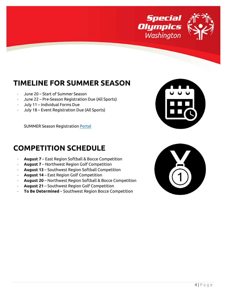

## <span id="page-3-0"></span>**TIMELINE FOR SUMMER SEASON**

- June 20 Start of Summer Season
- June 22 Pre-Season Registration Due (All Sports)
- July 11 Individual Forms Due
- July 18 Event Registration Due (All Sports)

SUMMER Season Registrat[ion Port](https://app.smartsheet.com/b/form/62530f65e36f42a7ab7dd9f5e2e436ee)al



## <span id="page-3-1"></span>**COMPETITION SCHEDULE**

- **August 7** East Region Softball & Bocce Competition
- **August 7** Northwest Region Golf Competition
- **August 13** Southwest Region Softball Competition
- **August 14** East Region Golf Competition
- **August 20** Northwest Region Softball & Bocce Competition
- **August 21** Southwest Region Golf Competition
- To Be Determined Southwest Region Bocce Competition

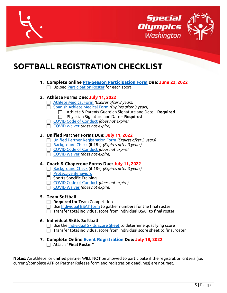



## <span id="page-4-0"></span>**SOFTBALL REGISTRATION CHECKLIST**

**1. Complete online [Pre-Season Participation](https://app.smartsheet.com/b/form/62530f65e36f42a7ab7dd9f5e2e436ee) Form Due**: **June 22, 2022**  $\Box$  Upload [Participation Roster](http://specialolympicswashington.org/wp-content/uploads/Pre-Registration-Roster-Template-Summer-2022.xlsx) for each sport

### **2. Athlete Forms Due: July 11, 2022**

- [Athlete Medical Form](https://specialolympicswashington.org/athlete-registration/) *(Expires after 3 years)*
- [Spanish Athlete Medical Form](https://specialolympicswashington.org/athlete-registration/) *(Expires after 3 years)*
	- Athlete & Parent/ Guardian Signature and Date **Required**
	- Physician Signature and Date **Required**
- [COVID Code of Conduct](https://specialolympicswashington.org/wp-content/uploads/COVID-19-Participant-Code-of-Conduct-and-Risk-Form-June-2021.pdf) *(does not expire)*
- [COVID Waiver](https://specialolympicswashington.org/wp-content/uploads/COVID-19-Waiver-Fillable-1.pdf) *(does not expire)*

### **3. Unified Partner Forms Due: July 11, 2022**

- [Unified Partner Registration Form](https://specialolympicswashington.org/unified-partner-registration/) *(Expires after 3 years)*
- [Background Check](https://app.sterlingvolunteers.com/promoorder/2ea089c3-b3c9-486a-a7ba-186b6510f607) (if 18+) *(Expires after 3 years)*
- □ [COVID Code of Conduct](https://specialolympicswashington.org/wp-content/uploads/COVID-19-Participant-Code-of-Conduct-and-Risk-Form-June-2021.pdf) *(does not expire)*
- [COVID Waiver](https://specialolympicswashington.org/wp-content/uploads/COVID-19-Waiver-Fillable-1.pdf) *(does not expire)*

### **4. Coach & Chaperone Forms Due: July 11, 2022**

- [Background Check](https://app.sterlingvolunteers.com/promoorder/2ea089c3-b3c9-486a-a7ba-186b6510f607) (if 18+) *(Expires after 3 years)*
- $\Box$  [Protective Behaviors](https://resources.specialolympics.org/protective-behaviors)
- $\Box$  Sports Specific Training
- [COVID Code of Conduct](https://specialolympicswashington.org/wp-content/uploads/COVID-19-Participant-Code-of-Conduct-and-Risk-Form-June-2021.pdf) *(does not expire)*
- [COVID Waiver](https://specialolympicswashington.org/wp-content/uploads/COVID-19-Waiver-Fillable-1.pdf) *(does not expire)*

### **5. Team Softball**

- **Required** for Team Competition
- $\Box$  Use [Individual BSAT form](https://specialolympicswashington.org/wp-content/uploads/BSAT-Individual_Softball-2019_12_27-23_51_17-UTC.pdf) to gather numbers for the final roster
- $\Box$  Transfer total individual score from individual BSAT to final roster

### **6. Individual Skills Softball**

- $\Box$  Use th[e Individual Skills Score Sheet](https://specialolympicswashington.org/wp-content/uploads/Softball-Ind-Skills-Sheet-1.pdf) to determine qualifying score  $\Box$  Transfer total individual score from individual score sheet to final roster
- **7. Complete Online Event [Registration](https://app.smartsheet.com/b/form/62530f65e36f42a7ab7dd9f5e2e436ee) Due: July 18, 2022** Attach **"Final Roster"**

**Notes:** An athlete, or unified partner WILL NOT be allowed to participate if the registration criteria (i.e. current/complete AFP or Partner Release form and registration deadlines) are not met.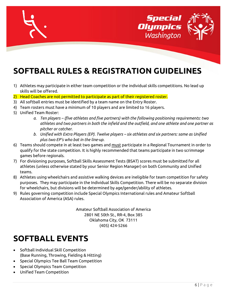



# <span id="page-5-0"></span>**SOFTBALL RULES & REGISTRATION GUIDELINES**

1) Athletes may participate in either team competition or the individual skills competitions. No lead up skills will be offered.

### 2) Head Coaches are not permitted to participate as part of their registered roster.

- 3) All softball entries must be identified by a team name on the Entry Roster.
- 4) Team rosters must have a minimum of 10 players and are limited to 16 players.
- 5) Unified Team Roster:
	- *a. Ten players – (five athletes and five partners) with the following positioning requirements: two athletes and two partners in both the infield and the outfield, and one athlete and one partner as pitcher or catcher.*
	- *b. Unified with Extra Players (EP). Twelve players – six athletes and six partners: same as Unified plus two EP's who bat in the line-up.*
- 6) Teams should compete in at least two games and must participate in a Regional Tournament in order to qualify for the state competition. It is highly recommended that teams participate in two scrimmage games before regionals.
- 7) For divisioning purposes, Softball Skills Assessment Tests (BSAT) scores must be submitted for all athletes (unless otherwise stated by your Senior Region Manager) on both Community and Unified teams.
- 8) Athletes using wheelchairs and assistive walking devices are ineligible for team competition for safety purposes. They may participate in the Individual Skills Competition. There will be no separate division for wheelchairs, but divisions will be determined by age/gender/ability of athletes.
- 9) Rules governing competition include Special Olympics International rules and Amateur Softball Association of America (ASA) rules.

Amateur Softball Association of America 2801 NE 50th St., RR-4, Box 385 Oklahoma City, OK 73111 (405) 424-5266

## <span id="page-5-1"></span>**SOFTBALL EVENTS**

- Softball Individual Skill Competition (Base Running, Throwing, Fielding & Hitting)
- Special Olympics Tee Ball Team Competition
- Special Olympics Team Competition
- Unified Team Competition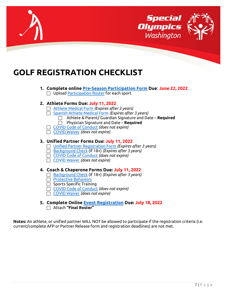



## <span id="page-6-0"></span>**GOLF REGISTRATION CHECKLIST**

**1. Complete online [Pre-Season Participation](https://app.smartsheet.com/b/form/62530f65e36f42a7ab7dd9f5e2e436ee) Form Due**: **June 22, 2022**  $\Box$  Upload [Participation Roster](http://specialolympicswashington.org/wp-content/uploads/Pre-Registration-Roster-Template-Summer-2022.xlsx) for each sport

### **2. Athlete Forms Due: July 11, 2022**

- [Athlete Medical Form](https://specialolympicswashington.org/athlete-registration/) *(Expires after 3 years)*
- [Spanish Athlete Medical Form](https://specialolympicswashington.org/athlete-registration/) *(Expires after 3 years)*
	- Athlete & Parent/ Guardian Signature and Date **Required** Physician Signature and Date – **Required**
- [COVID Code of Conduct](https://specialolympicswashington.org/wp-content/uploads/COVID-19-Participant-Code-of-Conduct-and-Risk-Form-June-2021.pdf) *(does not expire)*
- [COVID Waiver](https://specialolympicswashington.org/wp-content/uploads/COVID-19-Waiver-Fillable-1.pdf) *(does not expire)*
- **3. Unified Partner Forms Due: July 11, 2022**
	- [Unified Partner Registration Form](https://specialolympicswashington.org/unified-partner-registration/) *(Expires after 3 years)*
	- [Background Check](https://app.sterlingvolunteers.com/promoorder/2ea089c3-b3c9-486a-a7ba-186b6510f607) (if 18+) *(Expires after 3 years)*
	- [COVID Code of Conduct](https://specialolympicswashington.org/wp-content/uploads/COVID-19-Participant-Code-of-Conduct-and-Risk-Form-June-2021.pdf) *(does not expire)*
	- [COVID Waiver](https://specialolympicswashington.org/wp-content/uploads/COVID-19-Waiver-Fillable-1.pdf) *(does not expire)*

### **4. Coach & Chaperone Forms Due: July 11, 2022**

- [Background Check](https://app.sterlingvolunteers.com/promoorder/2ea089c3-b3c9-486a-a7ba-186b6510f607) (if 18+) *(Expires after 3 years)*
- **[Protective Behaviors](https://resources.specialolympics.org/protective-behaviors)**
- $\Box$  Sports Specific Training
- [COVID Code of Conduct](https://specialolympicswashington.org/wp-content/uploads/COVID-19-Participant-Code-of-Conduct-and-Risk-Form-June-2021.pdf) *(does not expire)*
- [COVID Waiver](https://specialolympicswashington.org/wp-content/uploads/COVID-19-Waiver-Fillable-1.pdf) *(does not expire)*
- **5. Complete Online Event [Registration](https://app.smartsheet.com/b/form/62530f65e36f42a7ab7dd9f5e2e436ee) Due: July 18, 2022** Attach **"Final Roster"**

**Notes:** An athlete, or unified partner WILL NOT be allowed to participate if the registration criteria (i.e. current/complete AFP or Partner Release form and registration deadlines) are not met.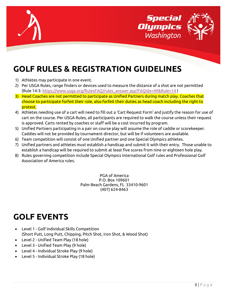



## <span id="page-7-0"></span>**GOLF RULES & REGISTRATION GUIDELINES**

- 1) Athletes may participate in one event.
- 2) Per USGA Rules, range finders or devices used to measure the distance of a shot are not permitted (Rule 14-3: [https://www.usga.org/RulesFAQ/rules\\_answer.asp?FAQidx=49&Rule=14](https://www.usga.org/RulesFAQ/rules_answer.asp?FAQidx=49&Rule=14) )
- 3) Head Coaches are not permitted to participate as Unified Partners during match play. Coaches that choose to participate forfeit their role, also forfeit their duties as head coach including the right to protest.
- 4) Athletes needing use of a cart will need to fill out a 'Cart Request Form' and justify the reason for use of cart on the course. Per USGA Rules, all participants are required to walk the course unless their request is approved. Carts rented by coaches or staff will be a cost incurred by program.
- 5) Unified Partners participating in a pair on course play will assume the role of caddie or scorekeeper. Caddies will not be provided by tournament director, but will be if volunteers are available.
- 6) Team competition will consist of one Unified partner and one Special Olympics athletes.
- 7) Unified partners and athletes must establish a handicap and submit it with their entry. Those unable to establish a handicap will be required to submit at least five scores from nine or eighteen hole play.
- 8) Rules governing competition include Special Olympics International Golf rules and Professional Golf Association of America rules.

PGA of America P.O. Box 109601 Palm Beach Gardens, FL 33410-9601 (407) 624-8463

## <span id="page-7-1"></span>**GOLF EVENTS**

- Level 1 Golf Individual Skills Competition (Short Putt, Long Putt, Chipping, Pitch Shot, Iron Shot, & Wood Shot)
- Level 2 Unified Team Play (18 hole)
- Level 3 Unified Team Play (9 hole)
- Level 4 Individual Stroke Play (9 hole)
- Level 5 Individual Stroke Play (18 hole)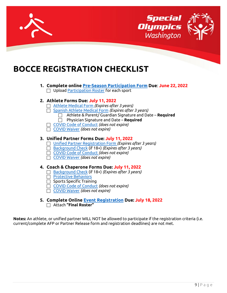



## <span id="page-8-0"></span>**BOCCE REGISTRATION CHECKLIST**

**1. Complete online [Pre-Season Participation](https://app.smartsheet.com/b/form/62530f65e36f42a7ab7dd9f5e2e436ee) Form Due**: **June 22, 2022**  $\Box$  Upload [Participation Roster](http://specialolympicswashington.org/wp-content/uploads/Pre-Registration-Roster-Template-Summer-2022.xlsx) for each sport

### **2. Athlete Forms Due: July 11, 2022**

- [Athlete Medical Form](https://specialolympicswashington.org/athlete-registration/) *(Expires after 3 years)*
- [Spanish Athlete Medical Form](https://specialolympicswashington.org/athlete-registration/) *(Expires after 3 years)*
	- Athlete & Parent/ Guardian Signature and Date **Required**
	- Physician Signature and Date **Required**
- [COVID Code of Conduct](https://specialolympicswashington.org/wp-content/uploads/COVID-19-Participant-Code-of-Conduct-and-Risk-Form-June-2021.pdf) *(does not expire)*
- [COVID Waiver](https://specialolympicswashington.org/wp-content/uploads/COVID-19-Waiver-Fillable-1.pdf) *(does not expire)*

### **3. Unified Partner Forms Due: July 11, 2022**

- [Unified Partner Registration Form](https://specialolympicswashington.org/unified-partner-registration/) *(Expires after 3 years)*
- [Background Check](https://app.sterlingvolunteers.com/promoorder/2ea089c3-b3c9-486a-a7ba-186b6510f607) (if 18+) *(Expires after 3 years)*
- □ [COVID Code of Conduct](https://specialolympicswashington.org/wp-content/uploads/COVID-19-Participant-Code-of-Conduct-and-Risk-Form-June-2021.pdf) *(does not expire)*
- [COVID Waiver](https://specialolympicswashington.org/wp-content/uploads/COVID-19-Waiver-Fillable-1.pdf) *(does not expire)*

### **4. Coach & Chaperone Forms Due: July 11, 2022**

- [Background Check](https://app.sterlingvolunteers.com/promoorder/2ea089c3-b3c9-486a-a7ba-186b6510f607) (if 18+) *(Expires after 3 years)*
- □ [Protective Behaviors](https://resources.specialolympics.org/protective-behaviors)
- Sports Specific Training
- [COVID Code of Conduct](https://specialolympicswashington.org/wp-content/uploads/COVID-19-Participant-Code-of-Conduct-and-Risk-Form-June-2021.pdf) *(does not expire)*
- [COVID Waiver](https://specialolympicswashington.org/wp-content/uploads/COVID-19-Waiver-Fillable-1.pdf) *(does not expire)*
- **5. Complete Online Event [Registration](https://app.smartsheet.com/b/form/62530f65e36f42a7ab7dd9f5e2e436ee) Due: July 18, 2022** Attach **"Final Roster"**

**Notes:** An athlete, or unified partner WILL NOT be allowed to participate if the registration criteria (i.e. current/complete AFP or Partner Release form and registration deadlines) are not met.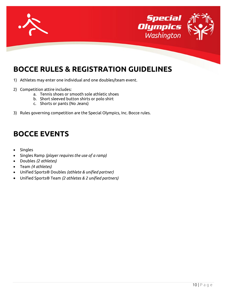



## <span id="page-9-0"></span>**BOCCE RULES & REGISTRATION GUIDELINES**

- 1) Athletes may enter one individual and one doubles/team event.
- 2) Competition attire includes:
	- a. Tennis shoes or smooth sole athletic shoes
	- b. Short sleeved button shirts or polo shirt
	- c. Shorts or pants (No Jeans)
- 3) Rules governing competition are the Special Olympics, Inc. Bocce rules.

### <span id="page-9-1"></span>**BOCCE EVENTS**

- Singles
- Singles Ramp *(player requires the use of a ramp)*
- Doubles *(2 athletes)*
- Team *(4 athletes)*
- Unified Sports® Doubles *(athlete & unified partner)*
- Unified Sports® Team *(2 athletes & 2 unified partners)*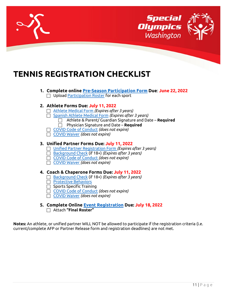



## <span id="page-10-0"></span>**TENNIS REGISTRATION CHECKLIST**

**1. Complete online [Pre-Season Participation](https://app.smartsheet.com/b/form/62530f65e36f42a7ab7dd9f5e2e436ee) Form Due**: **June 22, 2022**  $\Box$  Upload [Participation Roster](http://specialolympicswashington.org/wp-content/uploads/Pre-Registration-Roster-Template-Summer-2022.xlsx) for each sport

### **2. Athlete Forms Due: July 11, 2022**

- [Athlete Medical Form](https://specialolympicswashington.org/athlete-registration/) *(Expires after 3 years)*
- [Spanish Athlete Medical Form](https://specialolympicswashington.org/athlete-registration/) *(Expires after 3 years)*
	- Athlete & Parent/ Guardian Signature and Date **Required**
	- Physician Signature and Date **Required**
- [COVID Code of Conduct](https://specialolympicswashington.org/wp-content/uploads/COVID-19-Participant-Code-of-Conduct-and-Risk-Form-June-2021.pdf) *(does not expire)*
- [COVID Waiver](https://specialolympicswashington.org/wp-content/uploads/COVID-19-Waiver-Fillable-1.pdf) *(does not expire)*

### **3. Unified Partner Forms Due: July 11, 2022**

- [Unified Partner Registration Form](https://specialolympicswashington.org/unified-partner-registration/) *(Expires after 3 years)*
- [Background Check](https://app.sterlingvolunteers.com/promoorder/2ea089c3-b3c9-486a-a7ba-186b6510f607) (if 18+) *(Expires after 3 years)*
- [COVID Code of Conduct](https://specialolympicswashington.org/wp-content/uploads/COVID-19-Participant-Code-of-Conduct-and-Risk-Form-June-2021.pdf) *(does not expire)*
- [COVID Waiver](https://specialolympicswashington.org/wp-content/uploads/COVID-19-Waiver-Fillable-1.pdf) *(does not expire)*

### **4. Coach & Chaperone Forms Due: July 11, 2022**

- [Background Check](https://app.sterlingvolunteers.com/promoorder/2ea089c3-b3c9-486a-a7ba-186b6510f607) (if 18+) *(Expires after 3 years)*
- **[Protective Behaviors](https://resources.specialolympics.org/protective-behaviors)**
- $\Box$  Sports Specific Training
- [COVID Code of Conduct](https://specialolympicswashington.org/wp-content/uploads/COVID-19-Participant-Code-of-Conduct-and-Risk-Form-June-2021.pdf) *(does not expire)*
- [COVID Waiver](https://specialolympicswashington.org/wp-content/uploads/COVID-19-Waiver-Fillable-1.pdf) *(does not expire)*
- **5. Complete Online Event [Registration](https://app.smartsheet.com/b/form/62530f65e36f42a7ab7dd9f5e2e436ee) Due: July 18, 2022** Attach **"Final Roster"**

**Notes:** An athlete, or unified partner WILL NOT be allowed to participate if the registration criteria (i.e. current/complete AFP or Partner Release form and registration deadlines) are not met.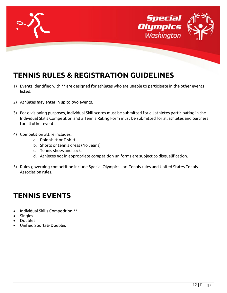



## <span id="page-11-0"></span>**TENNIS RULES & REGISTRATION GUIDELINES**

- 1) Events identified with \*\* are designed for athletes who are unable to participate in the other events listed.
- 2) Athletes may enter in up to two events.
- 3) For divisioning purposes, Individual Skill scores must be submitted for all athletes participating in the Individual Skills Competition and a Tennis Rating Form must be submitted for all athletes and partners for all other events.
- 4) Competition attire includes:
	- a. Polo shirt or T-shirt
	- b. Shorts or tennis dress (No Jeans)
	- c. Tennis shoes and socks
	- d. Athletes not in appropriate competition uniforms are subject to disqualification.
- 5) Rules governing competition include Special Olympics, Inc. Tennis rules and United States Tennis Association rules.

### <span id="page-11-1"></span>**TENNIS EVENTS**

- Individual Skills Competition \*\*
- Singles
- Doubles
- Unified Sports® Doubles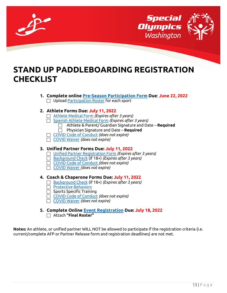



## <span id="page-12-0"></span>**STAND UP PADDLEBOARDING REGISTRATION CHECKLIST**

**1. Complete online [Pre-Season Participation](https://app.smartsheet.com/b/form/62530f65e36f42a7ab7dd9f5e2e436ee) Form Due**: **June 22, 2022**  $\Box$  Upload [Participation Roster](http://specialolympicswashington.org/wp-content/uploads/Pre-Registration-Roster-Template-Summer-2022.xlsx) for each sport

### **2. Athlete Forms Due: July 11, 2022**

- [Athlete Medical Form](https://specialolympicswashington.org/athlete-registration/) *(Expires after 3 years)*
- [Spanish Athlete Medical Form](https://specialolympicswashington.org/athlete-registration/) *(Expires after 3 years)*
	- Athlete & Parent/ Guardian Signature and Date **Required**
	- Physician Signature and Date **Required**
- [COVID Code of Conduct](https://specialolympicswashington.org/wp-content/uploads/COVID-19-Participant-Code-of-Conduct-and-Risk-Form-June-2021.pdf) *(does not expire)*
- [COVID Waiver](https://specialolympicswashington.org/wp-content/uploads/COVID-19-Waiver-Fillable-1.pdf) *(does not expire)*

### **3. Unified Partner Forms Due: July 11, 2022**

- [Unified Partner Registration Form](https://specialolympicswashington.org/unified-partner-registration/) *(Expires after 3 years)*
- [Background Check](https://app.sterlingvolunteers.com/promoorder/2ea089c3-b3c9-486a-a7ba-186b6510f607) (if 18+) *(Expires after 3 years)*
- [COVID Code of Conduct](https://specialolympicswashington.org/wp-content/uploads/COVID-19-Participant-Code-of-Conduct-and-Risk-Form-June-2021.pdf) *(does not expire)*
- [COVID Waiver](https://specialolympicswashington.org/wp-content/uploads/COVID-19-Waiver-Fillable-1.pdf) *(does not expire)*

### **4. Coach & Chaperone Forms Due: July 11, 2022**

- [Background Check](https://app.sterlingvolunteers.com/promoorder/2ea089c3-b3c9-486a-a7ba-186b6510f607) (if 18+) *(Expires after 3 years)*
- [Protective Behaviors](https://resources.specialolympics.org/protective-behaviors)
- $\Box$  Sports Specific Training
- [COVID Code of Conduct](https://specialolympicswashington.org/wp-content/uploads/COVID-19-Participant-Code-of-Conduct-and-Risk-Form-June-2021.pdf) *(does not expire)*
- [COVID Waiver](https://specialolympicswashington.org/wp-content/uploads/COVID-19-Waiver-Fillable-1.pdf) *(does not expire)*
- **5. Complete Online Event [Registration](https://app.smartsheet.com/b/form/62530f65e36f42a7ab7dd9f5e2e436ee) Due: July 18, 2022** Attach **"Final Roster"**

**Notes:** An athlete, or unified partner WILL NOT be allowed to participate if the registration criteria (i.e. current/complete AFP or Partner Release form and registration deadlines) are not met.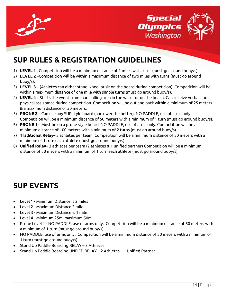



### <span id="page-13-0"></span>**SUP RULES & REGISTRATION GUIDELINES**

- 1) **LEVEL 1** –Competition will be a minimum distance of 2 miles with turns (must go around buoy/s).
- 2) **LEVEL 2** –Competition will be within a maximum distance of two miles with turns (must go around buoy/s).
- 3) **LEVEL 3** (Athletes can either stand, kneel or sit on the board during competition). Competition will be within a maximum distance of one mile with simple turns (must go around buoy/s).
- 4) **LEVEL 4** Starts the event from marshalling area in the water or on the beach. Can receive verbal and physical assistance during competition. Competition will be out and back within a minimum of 25 meters & a maximum distance of 50 meters.
- 5) **PRONE 2** Can use any SUP style board (narrower the better). NO PADDLE, use of arms only. Competition will be a minimum distance of 50 meters with a minimum of 1 turn (must go around buoy/s).
- 6) **PRONE 1** Must be on a prone style board. NO PADDLE, use of arms only. Competition will be a minimum distance of 100 meters with a minimum of 2 turns (must go around buoy/s).
- 7) **Traditional Relay** 3 athletes per team. Competition will be a minimum distance of 50 meters with a minimum of 1 turn each athlete (must go around buoy/s).
- 8) **Unified Relay** 3 athletes per team (2 athletes & 1 unified partner) Competition will be a minimum distance of 50 meters with a minimum of 1 turn each athlete (must go around buoy/s).

## <span id="page-13-1"></span>**SUP EVENTS**

- Level 1 Minimum Distance is 2 miles
- Level 2 Maximum Distance 2 mile
- Level 3 Maximum Distance is 1 mile
- Level 4 Minimum 25m, maximum 50m
- Prone Level 1 NO PADDLE, use of arms only. Competition will be a minimum distance of 50 meters with a minimum of 1 turn (must go around buoy/s)
- NO PADDLE, use of arms only. Competition will be a minimum distance of 50 meters with a minimum of 1 turn (must go around buoy/s)
- Stand Up Paddle Boarding RELAY 3 Athletes
- Stand Up Paddle Boarding UNFIED RELAY 2 Athletes 1 Unified Partner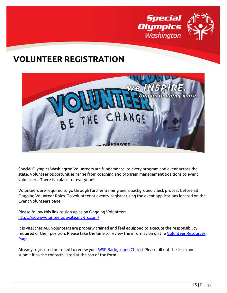

## <span id="page-14-0"></span>**VOLUNTEER REGISTRATION**



Special Olympics Washington Volunteers are fundamental to every program and event across the state. Volunteer opportunities range from coaching and program management positions to event volunteers. There is a place for everyone!

Volunteers are required to go through further training and a background check process before all Ongoing Volunteer Roles. To volunteer at events, register using the event applications located on the Event Volunteers page.

Please follow this link to sign up as on Ongoing Volunteer: <https://sowa-volunteerapp-site.my-trs.com/>

It is vital that ALL volunteers are properly trained and feel equipped to execute the responsibility required of their position. Please take the time to review the information on the [Volunteer Resources](http://specialolympicswashington.org/volunteer/volunteer-resources/)  [Page.](http://specialolympicswashington.org/volunteer/volunteer-resources/)

Already registered but need to renew you[r WSP Background Check?](http://specialolympicswashington.org/wp-content/uploads/WSP-2021-Fillable-Form-2.pdf) Please fill out the form and submit it to the contacts listed at the top of the form.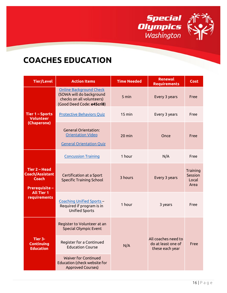

## <span id="page-15-0"></span>**COACHES EDUCATION**

| <b>Tier/Level</b>                                                                | <b>Action Items</b>                                                                                                  | <b>Time Needed</b> | <b>Renewal</b><br><b>Requirements</b>                        | <b>Cost</b>                          |
|----------------------------------------------------------------------------------|----------------------------------------------------------------------------------------------------------------------|--------------------|--------------------------------------------------------------|--------------------------------------|
| Tier 1 - Sports<br><b>Volunteer</b>                                              | <b>Online Background Check</b><br>(SOWA will do background<br>checks on all volunteers)<br>(Good Deed Code: e45cri8) | $5 \text{ min}$    | Every 3 years                                                | Free                                 |
|                                                                                  | <b>Protective Behaviors Quiz</b>                                                                                     | $15$ min           | Every 3 years                                                | Free                                 |
| (Chaperone)                                                                      | <b>General Orientation:</b><br>Orientation Video<br><b>General Orientation Quiz</b>                                  | $20$ min           | Once                                                         | Free                                 |
|                                                                                  | <b>Concussion Training</b>                                                                                           | 1 hour             | N/A                                                          | Free                                 |
| Tier 2 - Head<br><b>Coach/Assistant</b><br><b>Coach</b><br><b>Prerequisite -</b> | Certification at a Sport<br><b>Specific Training School</b>                                                          | 3 hours            | Every 3 years                                                | Training<br>Session<br>Local<br>Area |
| <b>All Tier 1</b><br>requirements                                                | <b>Coaching Unified Sports -</b><br>Required if program is in<br><b>Unified Sports</b>                               | 1 hour             | 3 years                                                      | Free                                 |
|                                                                                  | Register to Volunteer at an<br><b>Special Olympic Event</b>                                                          |                    |                                                              |                                      |
| Tier 3-<br><b>Continuing</b><br><b>Education</b>                                 | Register for a Continued<br><b>Education Course</b>                                                                  | N/A                | All coaches need to<br>do at least one of<br>these each year | Free                                 |
|                                                                                  | <b>Waiver for Continued</b><br>Education (check website for<br><b>Approved Courses)</b>                              |                    |                                                              |                                      |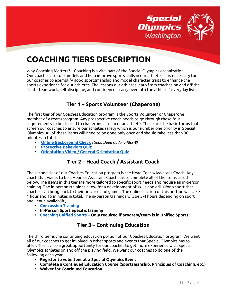

## <span id="page-16-0"></span>**COACHING TIERS DESCRIPTION**

Why Coaching Matters? – Coaching is a vital part of the Special Olympics organization. Our coaches are role models and help improve sports skills in our athletes. It is necessary for our coaches to exemplify good sportsmanship and model character traits to enhance the sports experience for our athletes. The lessons our athletes learn from coaches on and off the field – teamwork, self-discipline, and confidence – carry over into the athletes' everyday lives.

### **Tier 1 – Sports Volunteer (Chaperone)**

The first tier of our Coaches Education program is the Sports Volunteer or Chaperone member of a team/program. Any prospective coach needs to go through these four requirements to be cleared to chaperone a team or an athlete. These are the basic forms that screen our coaches to ensure our athletes safety which is our number one priority in Special Olympics. All of these items will need to be done only once and should take less than 30 minutes in total.

- **• [Online Background Check](https://app.sterlingvolunteers.com/en/Candidates/Account/Register)** *(Good Deed Code: e45cri8)*
- **• [Protective Behaviors Quiz](https://resources.specialolympics.org/protective_behaviors_training.aspx)**
- **• [Orientation Video / General Orientation Quiz](http://specialolympicswashington.org/forms/general-orientation-quiz/)**

### **Tier 2 – Head Coach / Assistant Coach**

The second tier of our Coaches Education program is the Head Coach/Assistant Coach. Any coach that wants to be a Head or Assistant Coach has to complete all of the items listed below. The items in this tier are more tailored to specific sport needs and require an in-person training. The in-person trainings allow for a development of skills and drills for a sport that coaches can bring back to their practice and games. The online section of this portion will take 1 hour and 15 minutes in total. The in-person trainings will be 3-4 hours depending on sport and venue availability.

- **• [Concussion Training](https://nfhslearn.com/courses/61064/concussion-in-sports)**
- **• In-Person Sport Specific training**
- **• [Coaching Unified Sports](https://nfhslearn.com/courses/61127/coaching-unified-sports) – Only required if program/team is in Unified Sports**

### **Tier 3 – Continuing Education**

The third tier is the continuing education portion of our Coaches Education program. We want all of our coaches to get involved in other sports and events that Special Olympics has to offer. This is also a great opportunity for our coaches to get more experience with Special Olympics athletes on and off the playing field. We want our coaches to do one of the following each year.

- **• Register to volunteer at a Special Olympics Event**
- **• Complete a Continued Education Course (Sportsmanship, Principles of Coaching, etc.)**
- **• Waiver for Continued Education**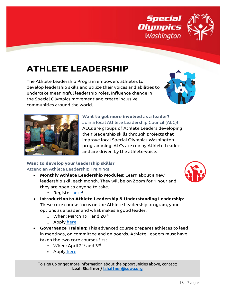

# <span id="page-17-0"></span>**ATHLETE LEADERSHIP**

The Athlete Leadership Program empowers athletes to develop leadership skills and utilize their voices and abilities to undertake meaningful leadership roles, influence change in the Special Olympics movement and create inclusive communities around the world.





### **Want to get more involved as a leader?** Join a local Athlete Leadership Council (ALC)! ALCs are groups of Athlete Leaders developing

their leadership skills through projects that improve local Special Olympics Washington programming. ALCs are run by Athlete Leaders and are driven by the athlete-voice.

### **Want to develop your leadership skills?**

Attend an Athlete Leadership Training!

- **Monthly Athlete Leadership Modules:** Learn about a new leadership skill each month. They will be on Zoom for 1 hour and they are open to anyone to take.
	- o Register [here!](https://us02web.zoom.us/meeting/register/tZ0vduyvqDoqE9zoFSfg8zjO9ZxZBkuOwr9x)
- **Introduction to Athlete Leadership & Understanding Leadership**: These core course focus on the Athlete Leadership program, your options as a leader and what makes a good leader.
	- $\circ$  When: March 19<sup>th</sup> and 20<sup>th</sup>
	- o Apply [here!](https://forms.gle/TXwYnZsVBhywyeSw6)
- **Governance Training:** This advanced course prepares athletes to lead in meetings, on committee and on boards. Athlete Leaders must have taken the two core courses first.
	- o When: April 2<sup>nd</sup> and 3<sup>rd</sup>
	- o Apply [here!](https://forms.gle/TXwYnZsVBhywyeSw6)

To sign up or get more information about the opportunities above, contact: **Leah Shaffner [/ lshaffner@sowa.org](mailto:lshaffner@sowa.org)**

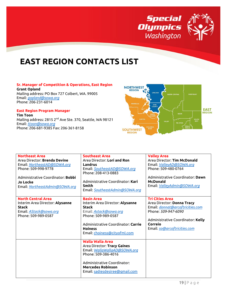

## <span id="page-18-0"></span>**EAST REGION CONTACTS LIST**

#### **Sr. Manager of Competition & Operations, East Region Grant Opland**

Mailing address: PO Box 727 Colbert, WA. 99005 Email: *[gopland@sowa.org](mailto:gopland@sowa.org)* Phone: 206-231-6014

**East Region Program Manager Tim Toon** Mailing address: 2815 2<sup>nd</sup> Ave Ste. 370, Seattle, WA 98121 Email: *[ttoon@sowa.org](mailto:ttoon@sowa.org)* Phone: 206-681-9385 Fax: 206-361-8158



| <b>Northeast Area</b><br>Area Director: <b>Brenda Devine</b><br>Email: NortheastAD@SOWA.org<br>Phone: 509-998-9778<br>Administrative Coordinator: <b>Bobbi</b><br><b>Jo Locke</b><br>Email: NortheastAdmin@SOWA.org | <b>Southeast Area</b><br>Area Director: Lori and Ron<br>Landrus<br>Email: SoutheastAD@SOWA.org<br>Phone: 208-413-0883<br>Administrative Coordinator: Kari<br><b>Smith</b><br>Email: SoutheastAdmin@SOWA.org   | <b>Valley Area</b><br>Area Director: Tim McDonald<br>Email: ValleyAD@SOWA.org<br>Phone: 509-480-0764<br>Administrative Coordinator: Dawn<br><b>McDonald</b><br>Email: ValleyAdmin@SOWA.org      |
|---------------------------------------------------------------------------------------------------------------------------------------------------------------------------------------------------------------------|---------------------------------------------------------------------------------------------------------------------------------------------------------------------------------------------------------------|-------------------------------------------------------------------------------------------------------------------------------------------------------------------------------------------------|
| <b>North Central Area</b><br>Interim Area Director: Alysanne<br><b>Stack</b><br>Email: AStack@sowa.org<br>Phone: 509-989-0587                                                                                       | <b>Basin Area</b><br>Interim Area Director: Alysanne<br><b>Stack</b><br>Email: Astack@sowa.org<br>Phone: 509-989-0587<br>Administrative Coordinator: Carrie<br><b>Hoiness</b><br>Email: choiness@cityofml.com | <b>Tri Cities Area</b><br>Area Director: Donna Tracy<br>Email: donnat@arcoftricities.com<br>Phone: 509-947-6090<br>Administrative Coordinator: Kelly<br>Correio<br>Email: so@arcoftricities.com |
|                                                                                                                                                                                                                     | <b>Walla Walla Area</b><br>Area Director: Tracy Gaines<br>Email: WallaWallaAD@SOWA.org<br>Phone: 509-386-4016<br>Administrative Coordinator:<br><b>Mercedes Robinson</b><br>Email: sadiesdesiree@gmail.com    |                                                                                                                                                                                                 |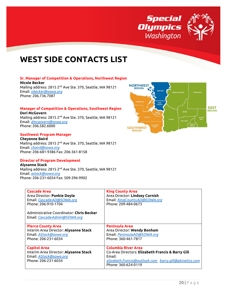

## <span id="page-19-0"></span>**WEST SIDE CONTACTS LIST**

#### **Sr. Manager of Competition & Operations, Northwest Region**

**Nicole Becker** Mailing address: 2815 2<sup>nd</sup> Ave Ste. 370, Seattle, WA 98121 Email: *[nbecker@sowa.org](mailto:nbecker@sowa.org)* Phone: 206.736.7087

#### **Manager of Competition & Operations, Southwest Region**

**Dori McGovern** Mailing address: 2815 2<sup>nd</sup> Ave Ste. 370, Seattle, WA 98121 Email: *[dmcgovern@sowa.org](mailto:dmcgovern@sowa.org)* Phone: 206.582.6000

### **Southwest Program Manager**

**Cheyenne Baird** Mailing address: 2815 2<sup>nd</sup> Ave Ste. 370, Seattle, WA 98121 Email: *[cbaird@sowa.org](mailto:cbaird@sowa.org)* Phone: 206-681-9386 Fax: 206-361-8158

#### **Director of Program Development**

**Alysanne Stack** Mailing address: 2815 2<sup>nd</sup> Ave Ste. 370, Seattle, WA 98121 Email: *[astack@sowa.org](mailto:astack@sowa.org)* Phone: 206-231-6034 Fax: 509-396-9902



| <b>Cascade Area</b><br>Area Director: Punkie Doyle<br>Email: CascadeAD@SOWA.org<br>Phone: 206-910-1704<br>Administrative Coordinator: Chris Becker<br>Email: Cascade Admin@SOWA.org | <b>King County Area</b><br>Area Director: Lindsey Cornish<br>Email: KingCountyAD@SOWA.org<br>Phone: 209-484-0673                                                           |
|-------------------------------------------------------------------------------------------------------------------------------------------------------------------------------------|----------------------------------------------------------------------------------------------------------------------------------------------------------------------------|
| <b>Pierce County Area</b><br>Interim Area Director: Alysanne Stack<br>Email: AStack@sowa.org<br>Phone: 206-231-6034                                                                 | <b>Peninsula Area</b><br>Area Director: Wendy Bonham<br>Email: PeninsulaAD@SOWA.org<br>Phone: 360-461-7817                                                                 |
| <b>Capitol Area</b><br>Interim Area Director: Alysanne Stack<br>Email: AStack@sowa.org<br>Phone: 206-231-6034                                                                       | <b>Columbia River Area</b><br>Co-Area Directors: Elizabeth Francis & Barry Gill<br>Email:<br>elizabeth.francis@outlook.com_barry.gill@pkinetics.com<br>Phone: 360-624-0119 |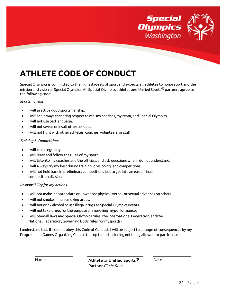

<span id="page-20-0"></span>

Special Olympics is committed to the highest ideals of sport and expects all athletes to honor sport and the mission and vision of Special Olympics. All Special Olympics athletes and Unified Sports® partners agree to the following code:

#### *Sportsmanship*

- I will practice good sportsmanship.
- I will act in ways that bring respect to me, my coaches, my team, and Special Olympics.
- I will not use badlanguage.
- I will not swear or insult otherpersons.
- I will not fightwith other athletes, coaches, volunteers,or staff.

#### *Training & Competitions*

- I will train regularly.
- I will learnand follow therules of my sport.
- I will listento my coaches and the officials, and ask questions when I do not understand.
- I will always try my best during training, divisioning, and competitions.
- $\bullet$  I will not hold back in preliminary competitions just to get into an easier finals competition division.

#### *Responsibility for My Actions*

- Iwill not makeinappropriateor unwantedphysical, verbal,or sexual advances on others.
- I will not smoke in non-smoking areas.
- I will not drink alcohol or use illegal drugs at Special Olympicsevents.
- I will not take drugs for the purposeofimproving myperformance.
- Iwill obey all laws and SpecialOlympics rules, the InternationalFederation,andthe National Federation/Governing Body rules for mysport(s).

I understand that if I do not obey this Code of Conduct, I will be subject to a range of consequences by my Program or a Games Organizing Committee, up to and including not being allowed to participate.

Name **Athlete** or **Unified Sports**<sup>®</sup> Partner *Circle Role*

Date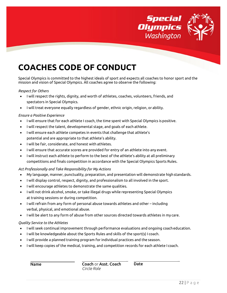

# <span id="page-21-0"></span>**COACHES CODE OF CONDUCT**

Special Olympics is committed to the highest ideals of sport and expects all coaches to honor sport and the mission and vision of Special Olympics. All coaches agree to observe the following:

### *Respect for Others*

- I will respect the rights, dignity, and worth of athletes, coaches, volunteers, friends, and spectators in Special Olympics.
- I will treat everyone equally regardless of gender, ethnic origin, religion, or ability.

### *Ensure a Positive Experience*

- I will ensure that for each athlete I coach, the time spent with Special Olympics ispositive.
- I will respect the talent, developmental stage, and goals of each athlete.
- I will ensure each athlete competes in events that challenge that athlete's potential and are appropriate to that athlete's ability.
- I will be fair, considerate, and honest with athletes.
- I will ensure that accurate scores are provided for entry of an athlete into any event.
- I will instruct each athlete to perform to the best of the athlete's ability at all preliminary competitions and finals competition in accordance with the Special Olympics Sports Rules.

### *Act Professionally and Take Responsibility for My Actions*

- My language, manner, punctuality, preparation, and presentation will demonstrate high standards.
- I will display control, respect, dignity, and professionalism to all involved in the sport.
- I will encourage athletes to demonstrate the same qualities.
- I will not drink alcohol, smoke, or take illegal drugs while representing Special Olympics at training sessions or during competition.
- I will refrain from any form of personal abuse towards athletes and other including verbal, physical, and emotional abuse.
- I will be alert to any form of abuse from other sources directed towards athletes in my care.

### *Quality Service to the Athletes*

- I will seek continual improvement through performance evaluations and ongoing coach education.
- I will be knowledgeable about the Sports Rules and skills of the sport(s) I coach.
- I will provide a planned training program for individual practices and the season.
- I will keep copies of the medical, training, and competition records for each athlete I coach.

Name

Coach or Asst. Coach *Circle Role*

Date

 $\overline{a}$ 

 $\overline{a}$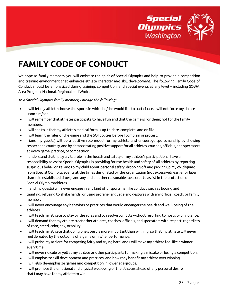

## <span id="page-22-0"></span>**FAMILY CODE OF CONDUCT**

We hope as family members, you will embrace the spirit of Special Olympics and help to provide a competition and training environment that enhances athlete character and skill development. The following Family Code of Conduct should be emphasized during training, competition, and special events at any level – including SOWA, Area Program, National, Regional and World.

### *As a Special Olympics family member, I pledge the following:*

- I will let my athlete choose the sports in which he/she would like to participate. I will not force my choice uponhim/her.
- I will remember that athletes participate to have fun and that the game is for them; not for the family members.
- I will see to it that my athlete's medical form is up-to-date, complete, and on file.
- I will learn the rules of the game and the SOI policies before I complain orprotest.
- I (and my guests) will be a positive role model for my athlete and encourage sportsmanship by showing respect and courtesy, and by demonstrating positive support for all athletes, coaches, officials, and spectators at every game, practice, orcompetition.
- I understand that I play a vital role in the health and safety of my athlete's participation. I have a responsibility to assist Special Olympics in providing for the health and safety of all athletes by reporting suspicious behavior, talking to my child about personal safety, dropping off and picking up my child/guard from Special Olympics events at the times designated by the organization (not excessively earlier or later than said established times), and any and all other reasonable measures to assist in the protection of Special Olympicsathletes.
- I (and my guests) will never engage in any kind of unsportsmanlike conduct, such as booing and
- taunting, refusing to shake hands, or using profane language and gestures with any official, coach, or family member.
- I will never encourage any behaviors or practices that would endanger the health and well- being of the athletes.
- I will teach my athlete to play by the rules and to resolve conflicts without resorting to hostility or violence.
- I will demand that my athlete treat other athletes, coaches, officials, and spectators with respect, regardless of race, creed, color, sex, orability.
- I will teach my athlete that doing one's best is more important than winning, so that my athlete will never feel defeated by the outcome of a game or his/her performance.
- I will praise my athlete for competing fairly and trying hard, and I will make my athlete feel like a winner every time.
- I will never ridicule or yell at my athlete or other participants for making a mistake or losing a competition.
- I will emphasize skill development and practices, and how they benefit my athlete over winning.
- I will also de-emphasize games and competition in lower agegroups.
- I will promote the emotional and physical well-being of the athletes ahead of any personal desire that I may have for my athlete towin.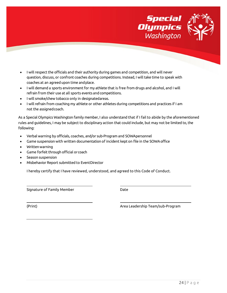

- I will respect the officials and their authority during games and competition, and will never question, discuss, or confront coaches during competitions. Instead, I will take time to speak with coaches at an agreed upon time andplace.
- I will demand a sports environment for my athlete that is free from drugs and alcohol, and I will refrain from their use at all sports events and competitions.
- I will smoke/chew tobacco only in designatedareas.
- I will refrain from coaching my athlete or other athletes during competitions and practices if I am not the assignedcoach.

As a Special Olympics Washington family member, I also understand that if I fail to abide by the aforementioned rules and guidelines, I may be subject to disciplinary action that could include, but may not be limited to, the following:

- Verbal warning by officials, coaches, and/or sub-Program and SOWApersonnel
- Game suspension with written documentation of incident kept on file in the SOWAoffice
- Writtenwarning
- Game forfeit through official orcoach
- Season suspension
- Misbehavior Report submitted to EventDirector

I hereby certify that I have reviewed, understood, and agreed to this Code of Conduct.

Signature of Family Member **Date** Date

(Print) Area Leadership Team/sub-Program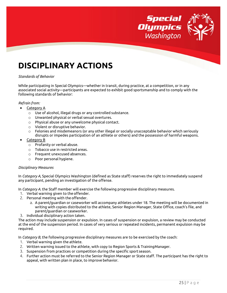

## <span id="page-24-0"></span>**DISCIPLINARY ACTIONS**

#### *Standards of Behavior*

While participating in Special Olympics—whether in transit, during practice, at a competition, or in any associated social activity—participants are expected to exhibit good sportsmanship and to comply with the following standards of behavior:

### *Refrain from:*

- Category A
	- $\circ$  Use of alcohol, illegal drugs or any controlled substance.<br> $\circ$  Unwanted physical or verbal sexual overtures.
	- Unwanted physical or verbal sexual overtures.
	- o Physical abuse or any unwelcome physical contact.
	- $\circ$  Violent or disruptive behavior.<br> $\circ$  Felonies and misdemeanors (or
	- Felonies and misdemeanors (or any other illegal or socially unacceptable behavior which seriously disrupts or impedes participation of an athlete or others) and the possession of harmful weapons.
- Category B
	- o Profanity or verbal abuse.
	- o Tobacco use in restricted areas.
	- o Frequent unexcused absences.
	- o Poor personal hygiene.

#### *Disciplinary Measures*

In *Category A*, Special Olympics Washington (defined as State staff) reserves the right to immediately suspend any participant, pending an investigation of the offense.

In *Category A*. the Staff member will exercise the following progressive disciplinary measures.

- 1. Verbal warning given to the offender.
- 2. Personal meeting with the offender.
	- a. A parent/guardian or caseworker will accompany athletes under 18. The meeting will be documented in writing with copies distributed to the athlete, Senior Region Manager, State Office, coach's file, and parent/guardian or caseworker.
- 3. Individual disciplinary action taken.

The action may include suspension or expulsion. In cases of suspension or expulsion, a review may be conducted at the end of the suspension period. In cases of very serious or repeated incidents, permanent expulsion may be required.

In *Category B*, the following progressive disciplinary measures are to be exercised by the coach:

- 1. Verbal warning given the athlete.
- 2. Written warning issued to the athlete, with copy to Region Sports & TrainingManager.
- 3. Suspension from practices or competition during the specific sport season.
- 4. Further action must be referred to the Senior Region Manager or State staff. The participant has the right to appeal, with written plan in place, to improve behavior.